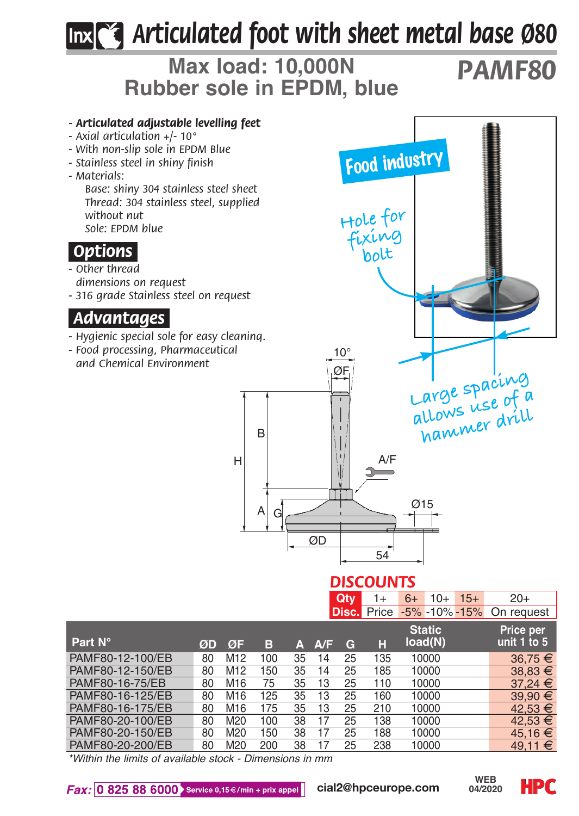# *Articulated foot with sheet metal base Ø80*

## **Max load: 10,000N Rubber sole in EPDM, blue**

# *PAMF80*



*\*Within the limits of available stock - Dimensions in mm*

PAMF80-16-175/EB 80 M16 175 35 13 25 210 10000<br>PAMF80-20-100/EB 80 M20 100 38 17 25 138 10000

PAMF80-20-150/EB 80 M20 150 38 17 25 188 10000<br>PAME80-20-200/EB 80 M20 200 38 17 25 238 10000

PAMF80-20-100/EB 80 M20 100 38 17 25 138 10000 42,53 +<br>PAMF80-20-150/EB 80 M20 150 38 17 25 188 10000 45.16 F<br>PAMF80-20-200/EB 80 M20 200 38 17 25 238 10000 49.11 #

PAMF80-20-200/EB 80 M20 200 38 17 25 238 10000 49.11 +



**HPC**